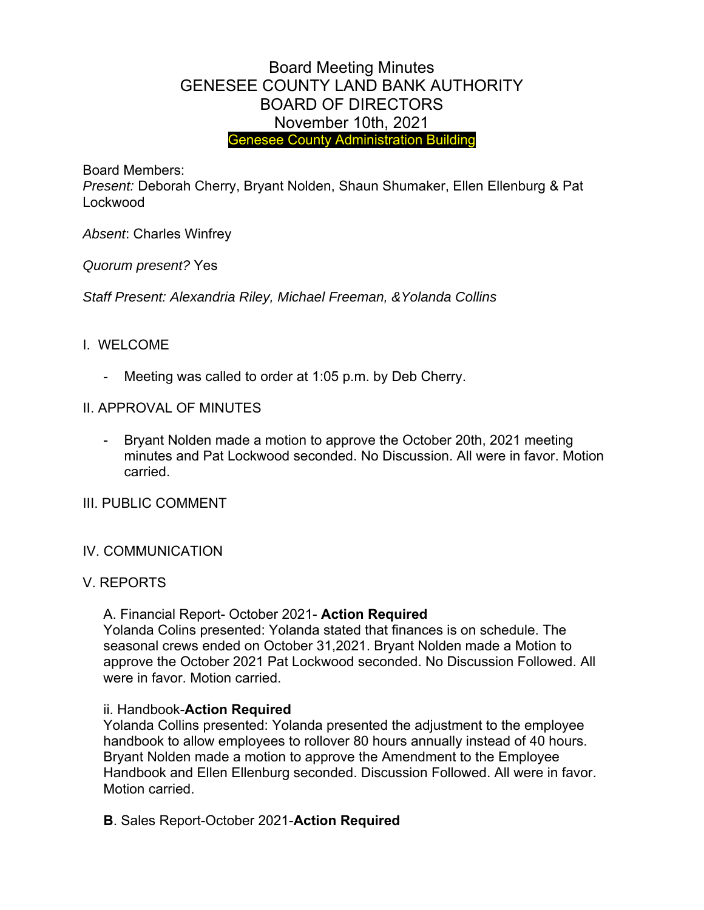# Board Meeting Minutes GENESEE COUNTY LAND BANK AUTHORITY BOARD OF DIRECTORS November 10th, 2021 Genesee County Administration Building

Board Members:

*Present:* Deborah Cherry, Bryant Nolden, Shaun Shumaker, Ellen Ellenburg & Pat Lockwood

*Absent*: Charles Winfrey

*Quorum present?* Yes

*Staff Present: Alexandria Riley, Michael Freeman, &Yolanda Collins* 

## I. WELCOME

- Meeting was called to order at 1:05 p.m. by Deb Cherry.
- II. APPROVAL OF MINUTES
	- Bryant Nolden made a motion to approve the October 20th, 2021 meeting minutes and Pat Lockwood seconded. No Discussion. All were in favor. Motion carried.

## III. PUBLIC COMMENT

## IV. COMMUNICATION

## V. REPORTS

A. Financial Report- October 2021- **Action Required**

Yolanda Colins presented: Yolanda stated that finances is on schedule. The seasonal crews ended on October 31,2021. Bryant Nolden made a Motion to approve the October 2021 Pat Lockwood seconded. No Discussion Followed. All were in favor. Motion carried.

## ii. Handbook-**Action Required**

Yolanda Collins presented: Yolanda presented the adjustment to the employee handbook to allow employees to rollover 80 hours annually instead of 40 hours. Bryant Nolden made a motion to approve the Amendment to the Employee Handbook and Ellen Ellenburg seconded. Discussion Followed. All were in favor. Motion carried.

**B**. Sales Report-October 2021-**Action Required**